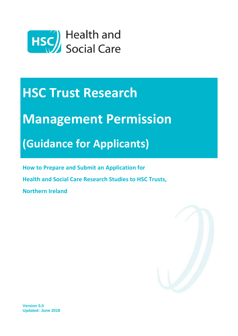

# **HSC Trust Research**

# **Management Permission**

## **(Guidance for Applicants)**

**How to Prepare and Submit an Application for** 

**Health and Social Care Research Studies to HSC Trusts,** 

**Northern Ireland**



**Version 5.0 Updated: June 2018**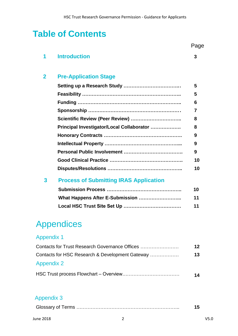## **Table of Contents**

| 1              | <b>Introduction</b>                           | 3  |
|----------------|-----------------------------------------------|----|
| $\overline{2}$ | <b>Pre-Application Stage</b>                  |    |
|                |                                               | 5  |
|                |                                               | 5  |
|                |                                               | 6  |
|                |                                               | 7  |
|                |                                               | 8  |
|                | Principal Investigator/Local Collaborator     | 8  |
|                |                                               | 9  |
|                |                                               | 9  |
|                |                                               | 9  |
|                |                                               | 10 |
|                |                                               | 10 |
| 3              | <b>Process of Submitting IRAS Application</b> |    |
|                |                                               | 10 |
|                |                                               | 11 |
|                |                                               | 11 |
|                |                                               |    |

## Appendices

## Appendix 1

| Contacts for Trust Research Governance Offices  | 12 |
|-------------------------------------------------|----|
| Contacts for HSC Research & Development Gateway | 13 |
| <b>Appendix 2</b>                               |    |
|                                                 | 14 |

## Appendix 3

Page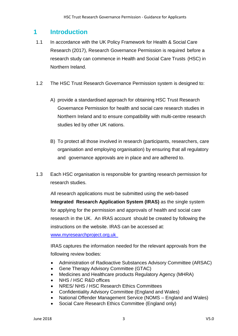### **1 Introduction**

- 1.1 In accordance with the UK Policy Framework for Health & Social Care Research (2017), Research Governance Permission is required before a research study can commence in Health and Social Care Trusts (HSC) in Northern Ireland.
- 1.2 The HSC Trust Research Governance Permission system is designed to:
	- A) provide a standardised approach for obtaining HSC Trust Research Governance Permission for health and social care research studies in Northern Ireland and to ensure compatibility with multi-centre research studies led by other UK nations.
	- B) To protect all those involved in research (participants, researchers, care organisation and employing organisation) by ensuring that all regulatory and governance approvals are in place and are adhered to.
- 1.3 Each HSC organisation is responsible for granting research permission for research studies.

All research applications must be submitted using the web-based **Integrated Research Application System (IRAS)** as the single system for applying for the permission and approvals of health and social care research in the UK. An IRAS account should be created by following the instructions on the website. IRAS can be accessed at:

[www.myresearchproject.org.uk](http://www.myresearchproject.org.uk/)

IRAS captures the information needed for the relevant approvals from the following review bodies:

- Administration of Radioactive Substances Advisory Committee (ARSAC)
- Gene Therapy Advisory Committee (GTAC)
- Medicines and Healthcare products Regulatory Agency (MHRA)
- NHS / HSC R&D offices
- NRES/ NHS / HSC Research Ethics Committees
- Confidentiality Advisory Committee (England and Wales)
- National Offender Management Service (NOMS England and Wales)
- Social Care Research Ethics Committee (England only)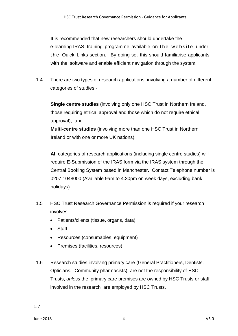It is recommended that new researchers should undertake the e-learning IRAS training programme available on the website under t h e Quick Links section. By doing so, this should familiarise applicants with the software and enable efficient navigation through the system.

1.4 There are two types of research applications, involving a number of different categories of studies:-

 **Single centre studies** (involving only one HSC Trust in Northern Ireland, those requiring ethical approval and those which do not require ethical approval); and

**Multi-centre studies** (involving more than one HSC Trust in Northern Ireland or with one or more UK nations).

**All** categories of research applications (including single centre studies) will require E-Submission of the IRAS form via the IRAS system through the Central Booking System based in Manchester. Contact Telephone number is 0207 1048000 (Available 9am to 4.30pm on week days, excluding bank holidays).

- 1.5 HSC Trust Research Governance Permission is required if your research involves:
	- Patients/clients (tissue, organs, data)
	- Staff
	- Resources (consumables, equipment)
	- Premises (facilities, resources)
- 1.6 Research studies involving primary care (General Practitioners, Dentists, Opticians, Community pharmacists), are not the responsibility of HSC Trusts, *unless* the primary care premises are owned by HSC Trusts or staff involved in the research are employed by HSC Trusts.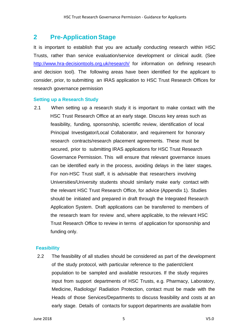## **2 Pre-Application Stage**

It is important to establish that you are actually conducting research within HSC Trusts, rather than service evaluation/service development or clinical audit. (See <http://www.hra-decisiontools.org.uk/research/> for information on defining research and decision tool). The following areas have been identified for the applicant to consider, prior, to submitting an IRAS application to HSC Trust Research Offices for research governance permission

#### **Setting up a Research Study**

2.1 When setting up a research study it is important to make contact with the HSC Trust Research Office at an early stage. Discuss key areas such as feasibility, funding, sponsorship, scientific review, identification of local Principal Investigator/Local Collaborator, and requirement for honorary research contracts/research placement agreements. These must be secured, prior to submitting IRAS applications for HSC Trust Research Governance Permission. This will ensure that relevant governance issues can be identified early in the process, avoiding delays in the later stages. For non-HSC Trust staff, it is advisable that researchers involving Universities/University students should similarly make early contact with the relevant HSC Trust Research Office, for advice (Appendix 1). Studies should be initiated and prepared in draft through the Integrated Research Application System. Draft applications can be transferred to members of the research team for review and, where applicable, to the relevant HSC Trust Research Office to review in terms of application for sponsorship and funding only.

#### **Feasibility**

2.2 The feasibility of all studies should be considered as part of the development of the study protocol, with particular reference to the patient/client population to be sampled and available resources. If the study requires input from support departments of HSC Trusts, e.g. Pharmacy, Laboratory, Medicine, Radiology/ Radiation Protection, contact must be made with the Heads of those Services/Departments to discuss feasibility and costs at an early stage. Details of contacts for support departments are available from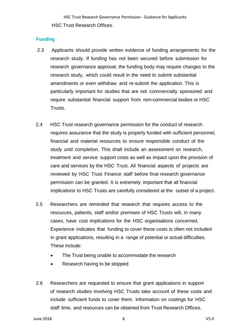#### **Funding**

- 2.3 Applicants should provide written evidence of funding arrangements for the research study. If funding has not been secured before submission for research governance approval, the funding body may require changes to the research study, which could result in the need to submit substantial amendments or even withdraw and re-submit the application. This is particularly important for studies that are not commercially sponsored and require substantial financial support from non-commercial bodies or HSC Trusts.
- 2.4 HSC Trust research governance permission for the conduct of research requires assurance that the study is properly funded with sufficient personnel, financial and material resources to ensure responsible conduct of the study until completion. This shall include an assessment on research, treatment and service support costs as well as impact upon the provision of care and services by the HSC Trust. All financial aspects of projects are reviewed by HSC Trust Finance staff before final research governance permission can be granted. It is extremely important that all financial implications to HSC Trusts are carefully considered at the outset of a project.
- 2.5 Researchers are reminded that research that requires access to the resources, patients, staff and/or premises of HSC Trusts will, in many cases, have cost implications for the HSC organisations concerned. Experience indicates that funding to cover these costs is often not included in grant applications, resulting in a range of potential or actual difficulties. These include:
	- The Trust being unable to accommodate the research
	- Research having to be stopped
- 2.6 Researchers are requested to ensure that grant applications in support of research studies involving HSC Trusts take account of these costs and include sufficient funds to cover them. Information on costings for HSC staff time, and resources can be obtained from Trust Research Offices.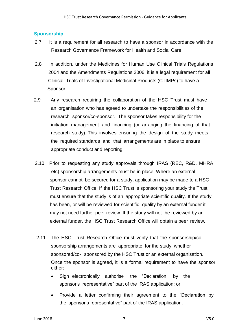#### **Sponsorship**

- 2.7 It is a requirement for all research to have a sponsor in accordance with the Research Governance Framework for Health and Social Care.
- 2.8 In addition, under the Medicines for Human Use Clinical Trials Regulations 2004 and the Amendments Regulations 2006, it is a legal requirement for all Clinical Trials of Investigational Medicinal Products (CTIMPs) to have a Sponsor.
- 2.9 Any research requiring the collaboration of the HSC Trust must have an organisation who has agreed to undertake the responsibilities of the research sponsor/co-sponsor. The sponsor takes responsibility for the initiation, management and financing (or arranging the financing of that research study). This involves ensuring the design of the study meets the required standards and that arrangements are in place to ensure appropriate conduct and reporting.
- 2.10 Prior to requesting any study approvals through IRAS (REC, R&D, MHRA etc) sponsorship arrangements must be in place. Where an external sponsor cannot be secured for a study, application may be made to a HSC Trust Research Office. If the HSC Trust is sponsoring your study the Trust must ensure that the study is of an appropriate scientific quality. If the study has been, or will be reviewed for scientific quality by an external funder it may not need further peer review. If the study will not be reviewed by an external funder, the HSC Trust Research Office will obtain a peer review.
- 2.11 The HSC Trust Research Office must verify that the sponsorship/cosponsorship arrangements are appropriate for the study whether sponsored/co- sponsored by the HSC Trust or an external organisation. Once the sponsor is agreed, it is a formal requirement to have the sponsor either:
	- Sign electronically authorise the "Declaration by the sponsor's representative" part of the IRAS application; or
	- Provide a letter confirming their agreement to the "Declaration by the sponsor's representative" part of the IRAS application.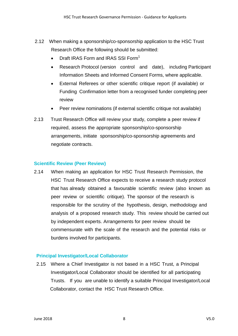- 2.12 When making a sponsorship/co-sponsorship application to the HSC Trust Research Office the following should be submitted:
	- Draft IRAS Form and IRAS SSI Form<sup>1</sup>
	- Research Protocol (version control and date), including Participant Information Sheets and Informed Consent Forms, where applicable.
	- External Referees or other scientific critique report (if available) or Funding Confirmation letter from a recognised funder completing peer review
	- Peer review nominations (if external scientific critique not available)
- 2.13 Trust Research Office will review your study, complete a peer review if required, assess the appropriate sponsorship/co-sponsorship arrangements, initiate sponsorship/co-sponsorship agreements and negotiate contracts.

#### **Scientific Review (Peer Review)**

2.14 When making an application for HSC Trust Research Permission, the HSC Trust Research Office expects to receive a research study protocol that has already obtained a favourable scientific review (also known as peer review or scientific critique). The sponsor of the research is responsible for the scrutiny of the hypothesis, design, methodology and analysis of a proposed research study. This review should be carried out by independent experts. Arrangements for peer review should be commensurate with the scale of the research and the potential risks or burdens involved for participants.

#### **Principal Investigator/Local Collaborator**

2.15 Where a Chief Investigator is not based in a HSC Trust, a Principal Investigator/Local Collaborator should be identified for all participating Trusts. If you are unable to identify a suitable Principal Investigator/Local Collaborator, contact the HSC Trust Research Office.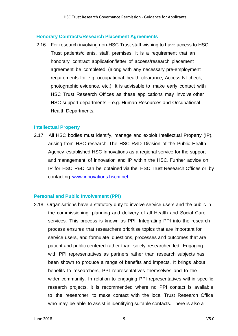#### **Honorary Contracts/Research Placement Agreements**

2.16 For research involving non-HSC Trust staff wishing to have access to HSC Trust patients/clients, staff, premises, it is a requirement that an honorary contract application/letter of access/research placement agreement be completed (along with any necessary pre-employment requirements for e.g. occupational health clearance, Access NI check, photographic evidence, etc.). It is advisable to make early contact with HSC Trust Research Offices as these applications may involve other HSC support departments – e.g. Human Resources and Occupational Health Departments.

#### **Intellectual Property**

2.17 All HSC bodies must identify, manage and exploit Intellectual Property (IP), arising from HSC research. The HSC R&D Division of the Public Health Agency established HSC Innovations as a regional service for the support and management of innovation and IP within the HSC. Further advice on IP for HSC R&D can be obtained via the HSC Trust Research Offices or by contacting [www.innovations.hscni.net](http://www.innovations.hscni.net/)

#### **Personal and Public Involvement (PPI)**

2.18 Organisations have a statutory duty to involve service users and the public in the commissioning, planning and delivery of all Health and Social Care services. This process is known as PPI. Integrating PPI into the research process ensures that researchers prioritise topics that are important for service users, and formulate questions, processes and outcomes that are patient and public centered rather than solely researcher led. Engaging with PPI representatives as partners rather than research subjects has been shown to produce a range of benefits and impacts. It brings about benefits to researchers, PPI representatives themselves and to the wider community. In relation to engaging PPI representatives within specific research projects, it is recommended where no PPI contact is available to the researcher, to make contact with the local Trust Research Office who may be able to assist in identifying suitable contacts. There is also a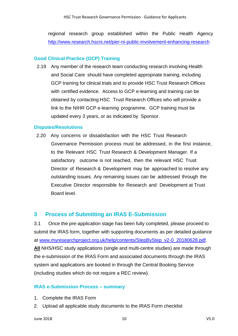regional research group established within the Public Health Agency <http://www.research.hscni.net/pier-ni-public-involvement-enhancing-research>

#### **Good Clinical Practice (GCP) Training**

2.19 Any member of the research team conducting research involving Health and Social Care should have completed appropriate training, including GCP training for clinical trials and to provide HSC Trust Research Offices with certified evidence. Access to GCP e-learning and training can be obtained by contacting HSC Trust Research Offices who will provide a link to the NIHR GCP e-learning programme. GCP training must be updated every 3 years, or as indicated by Sponsor.

#### **Disputes/Resolutions**

2.20 Any concerns or dissatisfaction with the HSC Trust Research Governance Permission process must be addressed, in the first instance, to the Relevant HSC Trust Research & Development Manager. If a satisfactory outcome is not reached, then the relevant HSC Trust Director of Research & Development may be approached to resolve any outstanding issues. Any remaining issues can be addressed through the Executive Director responsible for Research and Development at Trust Board level.

#### **3 Process of Submitting an IRAS E-Submission**

3.1 Once the pre-application stage has been fully completed, please proceed to submit the IRAS form, together with supporting documents as per detailed guidance at [www.myresearchproject.org.uk/help/contents/StepByStep\\_v2-0\\_20180628.pdf.](http://www.myresearchproject.org.uk/help/contents/StepByStep_v2-0_20180628.pdf) **All** NHS/HSC study applications (single and multi-centre studies) are made through the e-submission of the IRAS Form and associated documents through the IRAS system and applications are booked in through the Central Booking Service (including studies which do not require a REC review).

#### **IRAS e-Submission Process – summary**

- 1. Complete the IRAS Form
- 2. Upload all applicable study documents to the IRAS Form checklist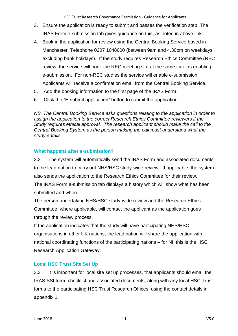- 3. Ensure the application is ready to submit and passes the verification step. The IRAS Form e-submission tab gives guidance on this, as noted in above link.
- 4. Book in the application for review using the Central Booking Service based in Manchester, Telephone 0207 1048000 (between 9am and 4.30pm on weekdays, excluding bank holidays). If the study requires Research Ethics Committee (REC review, the service will book the REC meeting slot at the same time as enabling e-submission. For non-REC studies the service will enable e-submission. Applicants will receive a confirmation email from the Central Booking Service.
- 5. Add the booking information to the first page of the IRAS Form.
- 6. Click the "E-submit application" button to submit the application.

*NB. The Central Booking Service asks questions relating to the application in order to assign the application to the correct Research Ethics Committee reviewers if the Study requires ethical approval. The research applicant should make the call to the Central Booking System as the person making the call must understand what the study entails.*

#### **What happens after e-submission?**

3.2 The system will automatically send the IRAS Form and associated documents to the lead nation to carry out NHS/HSC study-wide review. If applicable, the system also sends the application to the Research Ethics Committee for their review.

The IRAS Form e-submission tab displays a history which will show what has been submitted and when.

The person undertaking NHS/HSC study-wide review and the Research Ethics Committee, where applicable, will contact the applicant as the application goes through the review process.

If the application indicates that the study will have participating NHS/HSC organisations in other UK nations, the lead nation will share the application with national coordinating functions of the participating nations – for NI, this is the HSC Research Application Gateway.

#### **Local HSC Trust Site Set Up**

3.3 It is important for local site set up processes, that applicants should email the IRAS SSI form, checklist and associated documents, along with any local HSC Trust forms to the participating HSC Trust Research Offices, using the contact details in appendix 1.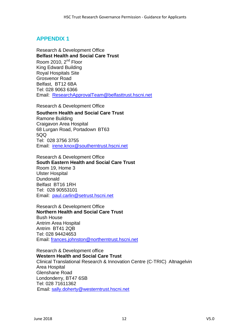### **APPENDIX 1**

Research & Development Office **Belfast Health and Social Care Trust** Room 2010, 2<sup>nd</sup> Floor King Edward Building Royal Hospitals Site Grosvenor Road Belfast, BT12 6BA Tel: 028 9063 6366 Email: [ResearchApprovalTeam@belfasttrust.hscni.net](mailto:ResearchApprovalTeam@belfasttrust.hscni.net)

Research & Development Office

**Southern Health and Social Care Trust** Ramone Building Craigavon Area Hospital 68 Lurgan Road, Portadown BT63 5QQ Tel: 028 3756 3755 [Email:](mailto:Irene.Knox@southerntrust.hscni.net) [irene.knox@southerntrust.hscni.net](mailto:irene.knox@southerntrust.hscni.net)

Research & Development Office **South Eastern Health and Social Care Trust** Room 19, Home 3 Ulster Hospital Dundonald Belfast BT16 1RH Tel: 028 90553101 Email: [paul.carlin@setrust.hscni.net](mailto:paul.carlin@setrust.hscni.net)

Research & Development Office **Northern Health and Social Care Trust** Bush House Antrim Area Hospital Antrim BT41 2QB Tel: 028 94424653 Email: [frances.johnston@northerntrust.hscni.net](mailto:frances.johnston@northerntrust.hscni.net)

Research & Development office **Western Health and Social Care Trust** Clinical Translational Research & Innovation Centre (C-TRIC) Altnagelvin Area Hospital Glenshane Road Londonderry, BT47 6SB Tel: 028 71611362 Email: [sally.doherty@westerntrust.hscni.net](mailto:sally.doherty@westerntrust.hscni.net)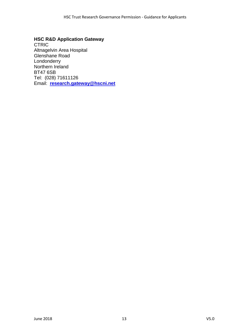#### **HSC R&D Application Gateway**

**CTRIC** Altnagelvin Area Hospital Glenshane Road Londonderry Northern Ireland BT47 6SB Tel: (028) 71611126 Email: **[research.gateway@hscni.net](mailto:research.gateway@hscni.nethscni.net)**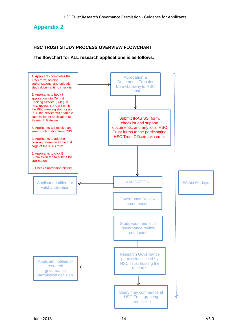### **Appendix 2**

#### **HSC TRUST STUDY PROCESS OVERVIEW FLOWCHART**

**The flowchart for ALL research applications is as follows:**

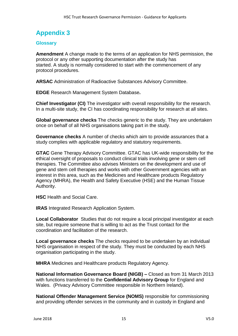## **Appendix 3**

#### **Glossary**

**Amendment** A change made to the terms of an application for NHS permission, the protocol or any other supporting documentation after the study has started. A study is normally considered to start with the commencement of any protocol procedures.

**ARSAC** Administration of Radioactive Substances Advisory Committee.

**EDGE** Research Management System Database**.**

**Chief Investigator (CI)** The investigator with overall responsibility for the research. In a multi-site study, the CI has coordinating responsibility for research at all sites.

**Global governance checks** The checks generic to the study. They are undertaken once on behalf of all NHS organisations taking part in the study.

**Governance checks** A number of checks which aim to provide assurances that a study complies with applicable regulatory and statutory requirements.

**GTAC** Gene Therapy Advisory Committee. GTAC has UK-wide responsibility for the ethical oversight of proposals to conduct clinical trials involving gene or stem cell therapies. The Committee also advises Ministers on the development and use of gene and stem cell therapies and works with other Government agencies with an interest in this area, such as the Medicines and Healthcare products Regulatory Agency (MHRA), the Health and Safety Executive (HSE) and the Human Tissue Authority.

**HSC** Health and Social Care.

**IRAS** Integrated Research Application System.

**Local Collaborator** Studies that do not require a local principal investigator at each site, but require someone that is willing to act as the Trust contact for the coordination and facilitation of the research.

**Local governance checks** The checks required to be undertaken by an individual NHS organisation in respect of the study. They must be conducted by each NHS organisation participating in the study.

**MHRA** Medicines and Healthcare products Regulatory Agency.

**National Information Governance Board (NIGB) –** Closed as from 31 March 2013 with functions transferred to the **Confidential Advisory Group** for England and Wales. (Privacy Advisory Committee responsible in Northern Ireland).

**National Offender Management Service (NOMS)** responsible for commissioning and providing offender services in the community and in custody in England and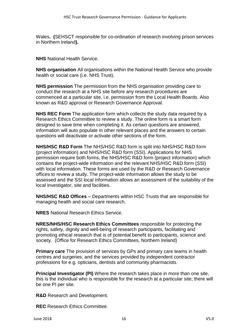Wales**. (**SEHSCT responsible for co-ordination of research involving prison services in Northern Ireland**).**

**NHS** National Health Service.

**NHS organisation** All organisations within the National Health Service who provide health or social care (i.e. NHS Trust).

**NHS permission** The permission from the NHS organisation providing care to conduct the research at a NHS site before any research procedures are commenced at a particular site, i.e. permission from the Local Health Boards. Also known as R&D approval or Research Governance Approval.

**NHS REC Form** The application form which collects the study data required by a Research Ethics Committee to review a study. The online form is a smart form designed to save time when completing it. As certain questions are answered, information will auto populate in other relevant places and the answers to certain questions will deactivate or activate other sections of the form.

**NHS/HSC R&D Form** The NHS/HSC R&D form is split into NHS/HSC R&D form (project information) and NHS/HSC R&D form (SSI). Applications for NHS permission require both forms, the NHS/HSC R&D form (project information) which contains the project-wide information and the relevant NHS/HSC R&D form (SSI) with local information. These forms are used by the R&D or Research Governance offices to review a study. The project-wide information allows the study to be assessed and the SSI local information allows an assessment of the suitability of the local investigator, site and facilities.

**NHS/HSC R&D Offices** – Departments within HSC Trusts that are responsible for managing health and social care research.

**NRES** National Research Ethics Service.

**NRES/NHS/HSC Research Ethics Committees** responsible for protecting the rights, safety, dignity and well-being of research participants, facilitating and promoting ethical research that is of potential benefit to participants, science and society. (Office for Research Ethics Committees, Northern Ireland)

**Primary care** The provision of services by GPs and primary care teams in health centres and surgeries; and the services provided by independent contractor professions for e.g. opticians, dentists and community pharmacists.

**Principal Investigator (PI)** Where the research takes place in more than one site, this is the individual who is responsible for the research at a particular site; there will be one PI per site.

**R&D** Research and Development.

**REC** Research Ethics Committee.